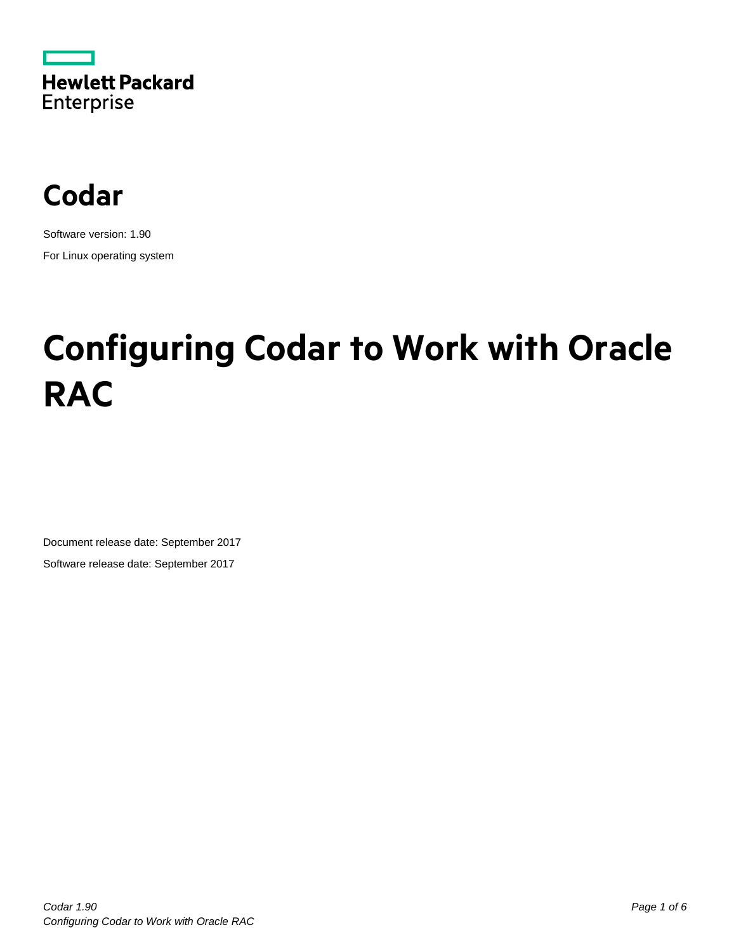



Software version: 1.90 For Linux operating system

# **Configuring Codar to Work with Oracle RAC**

Document release date: September 2017 Software release date: September 2017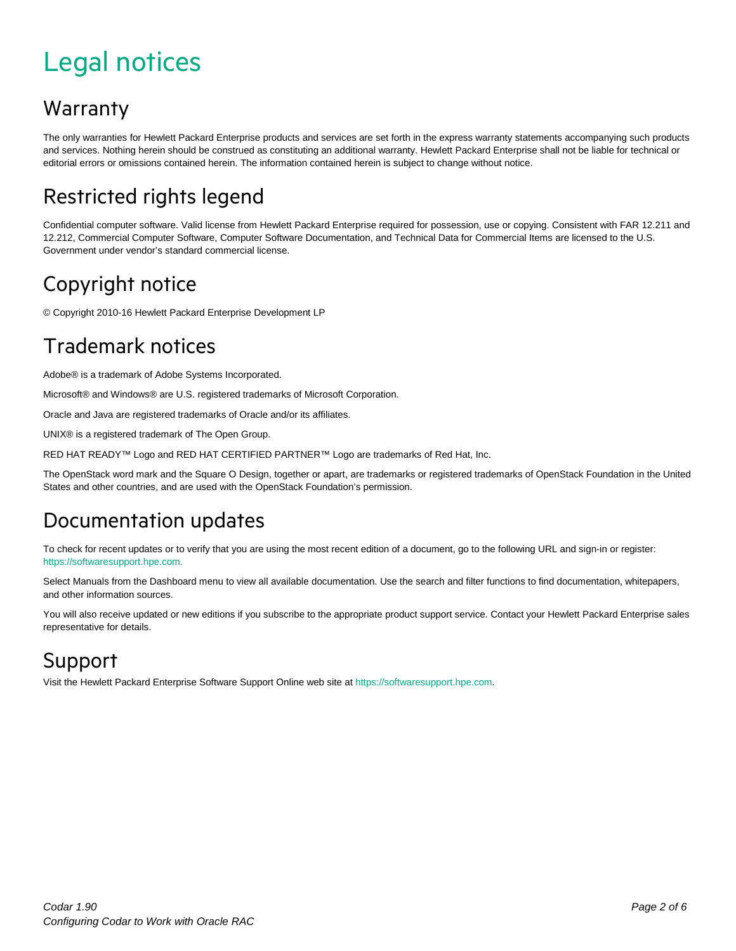## <span id="page-1-0"></span>Legal notices

#### Warranty

The only warranties for Hewlett Packard Enterprise products and services are set forth in the express warranty statements accompanying such products and services. Nothing herein should be construed as constituting an additional warranty. Hewlett Packard Enterprise shall not be liable for technical or editorial errors or omissions contained herein. The information contained herein is subject to change without notice.

#### Restricted rights legend

Confidential computer software. Valid license from Hewlett Packard Enterprise required for possession, use or copying. Consistent with FAR 12.211 and 12.212, Commercial Computer Software, Computer Software Documentation, and Technical Data for Commercial Items are licensed to the U.S. Government under vendor's standard commercial license.

#### Copyright notice

© Copyright 2010-16 Hewlett Packard Enterprise Development LP

#### Trademark notices

Adobe® is a trademark of Adobe Systems Incorporated.

Microsoft® and Windows® are U.S. registered trademarks of Microsoft Corporation.

Oracle and Java are registered trademarks of Oracle and/or its affiliates.

UNIX® is a registered trademark of The Open Group.

RED HAT READY™ Logo and RED HAT CERTIFIED PARTNER™ Logo are trademarks of Red Hat, Inc.

The OpenStack word mark and the Square O Design, together or apart, are trademarks or registered trademarks of OpenStack Foundation in the United States and other countries, and are used with the OpenStack Foundation's permission.

#### Documentation updates

To check for recent updates or to verify that you are using the most recent edition of a document, go to the following URL and sign-in or register: [https://softwaresupport.hpe.com.](https://softwaresupport.hpe.com./)

Select Manuals from the Dashboard menu to view all available documentation. Use the search and filter functions to find documentation, whitepapers, and other information sources.

You will also receive updated or new editions if you subscribe to the appropriate product support service. Contact your Hewlett Packard Enterprise sales representative for details.

#### Support

Visit the Hewlett Packard Enterprise Software Support Online web site a[t https://softwaresupport.hpe.com.](https://softwaresupport.hpe.com/)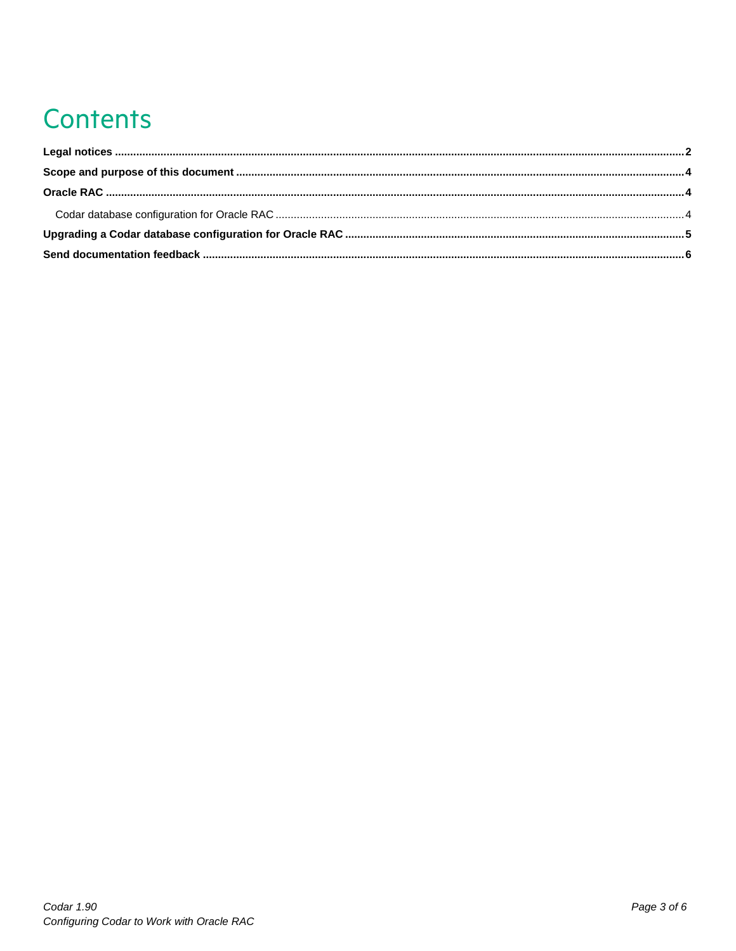# **Contents**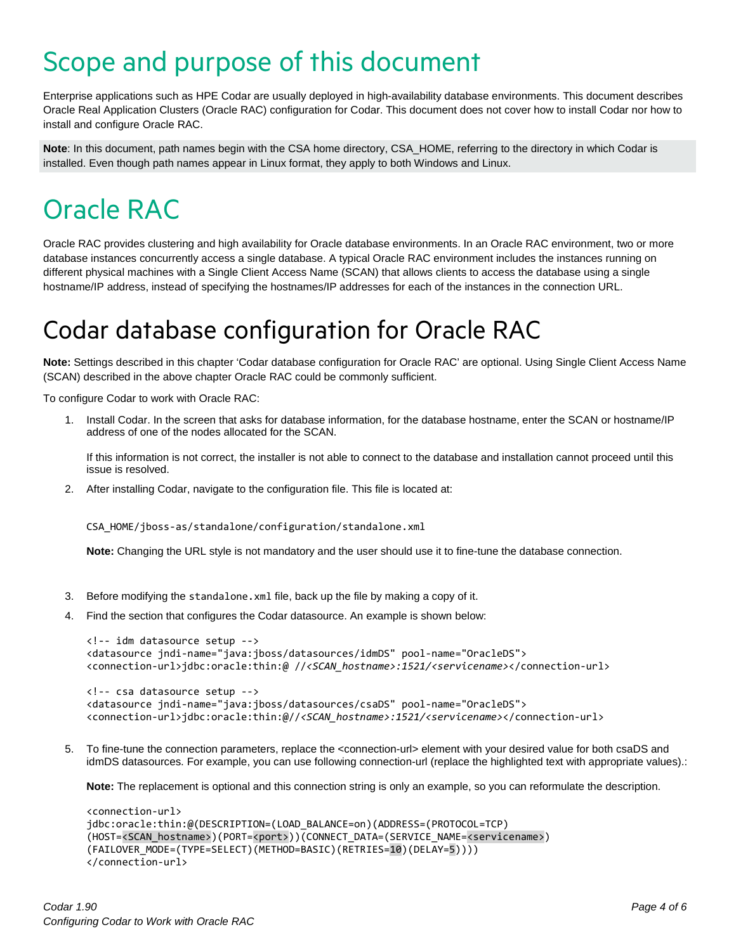### <span id="page-3-0"></span>Scope and purpose of this document

Enterprise applications such as HPE Codar are usually deployed in high-availability database environments. This document describes Oracle Real Application Clusters (Oracle RAC) configuration for Codar. This document does not cover how to install Codar nor how to install and configure Oracle RAC.

**Note**: In this document, path names begin with the CSA home directory, CSA\_HOME, referring to the directory in which Codar is installed. Even though path names appear in Linux format, they apply to both Windows and Linux.

### <span id="page-3-1"></span>Oracle RAC

Oracle RAC provides clustering and high availability for Oracle database environments. In an Oracle RAC environment, two or more database instances concurrently access a single database. A typical Oracle RAC environment includes the instances running on different physical machines with a Single Client Access Name (SCAN) that allows clients to access the database using a single hostname/IP address, instead of specifying the hostnames/IP addresses for each of the instances in the connection URL.

### <span id="page-3-2"></span>Codar database configuration for Oracle RAC

**Note:** Settings described in this chapter 'Codar database configuration for Oracle RAC' are optional. Using Single Client Access Name (SCAN) described in the above chapter Oracle RAC could be commonly sufficient.

To configure Codar to work with Oracle RAC:

1. Install Codar. In the screen that asks for database information, for the database hostname, enter the SCAN or hostname/IP address of one of the nodes allocated for the SCAN.

If this information is not correct, the installer is not able to connect to the database and installation cannot proceed until this issue is resolved.

2. After installing Codar, navigate to the configuration file. This file is located at:

CSA\_HOME/jboss-as/standalone/configuration/standalone.xml

**Note:** Changing the URL style is not mandatory and the user should use it to fine-tune the database connection.

- 3. Before modifying the standalone.xml file, back up the file by making a copy of it.
- 4. Find the section that configures the Codar datasource. An example is shown below:

```
<!-- idm datasource setup -->
<datasource jndi-name="java:jboss/datasources/idmDS" pool-name="OracleDS">
<connection-url>jdbc:oracle:thin:@ //<SCAN_hostname>:1521/<servicename></connection-url>
<!-- csa datasource setup -->
<datasource jndi-name="java:jboss/datasources/csaDS" pool-name="OracleDS">
```
- <connection-url>jdbc:oracle:thin:@//*<SCAN\_hostname>:1521/<servicename>*</connection-url>
- 5. To fine-tune the connection parameters, replace the <connection-url> element with your desired value for both csaDS and idmDS datasources. For example, you can use following connection-url (replace the highlighted text with appropriate values).:

**Note:** The replacement is optional and this connection string is only an example, so you can reformulate the description.

```
<connection-url>
jdbc:oracle:thin:@(DESCRIPTION=(LOAD_BALANCE=on)(ADDRESS=(PROTOCOL=TCP)
(HOST=<SCAN_hostname>)(PORT=<port>))(CONNECT_DATA=(SERVICE_NAME=<servicename>)
(FAILOVER_MODE=(TYPE=SELECT)(METHOD=BASIC)(RETRIES=10)(DELAY=5)))) 
</connection-url>
```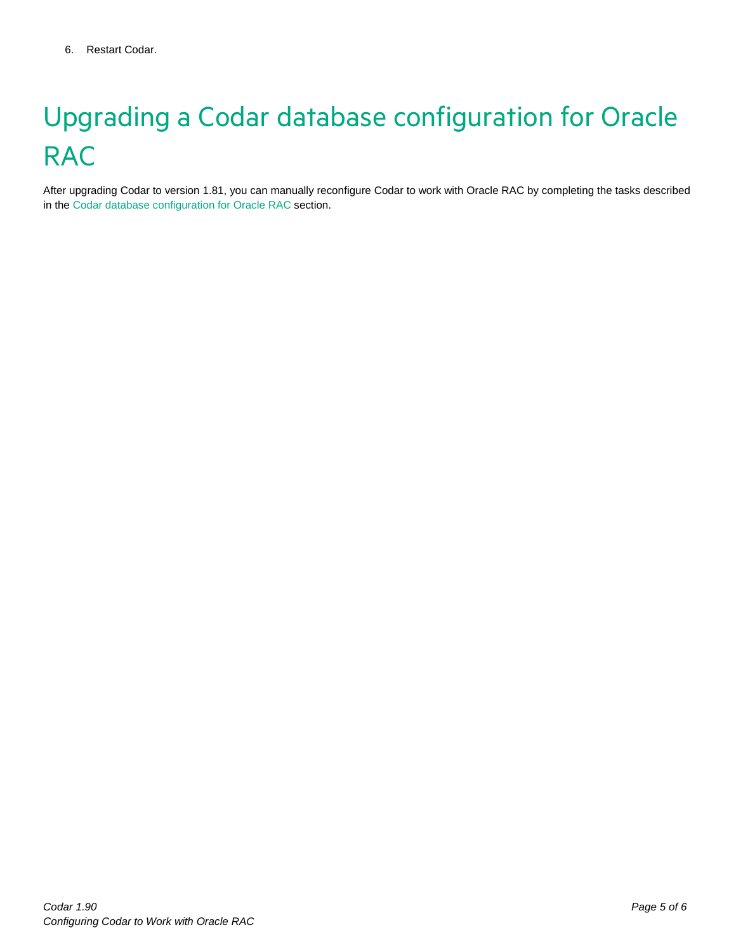# <span id="page-4-0"></span>Upgrading a Codar database configuration for Oracle **RAC**

After upgrading Codar to version 1.81, you can manually reconfigure Codar to work with Oracle RAC by completing the tasks described in th[e Codar database configuration for Oracle RAC](#page-3-2) section.